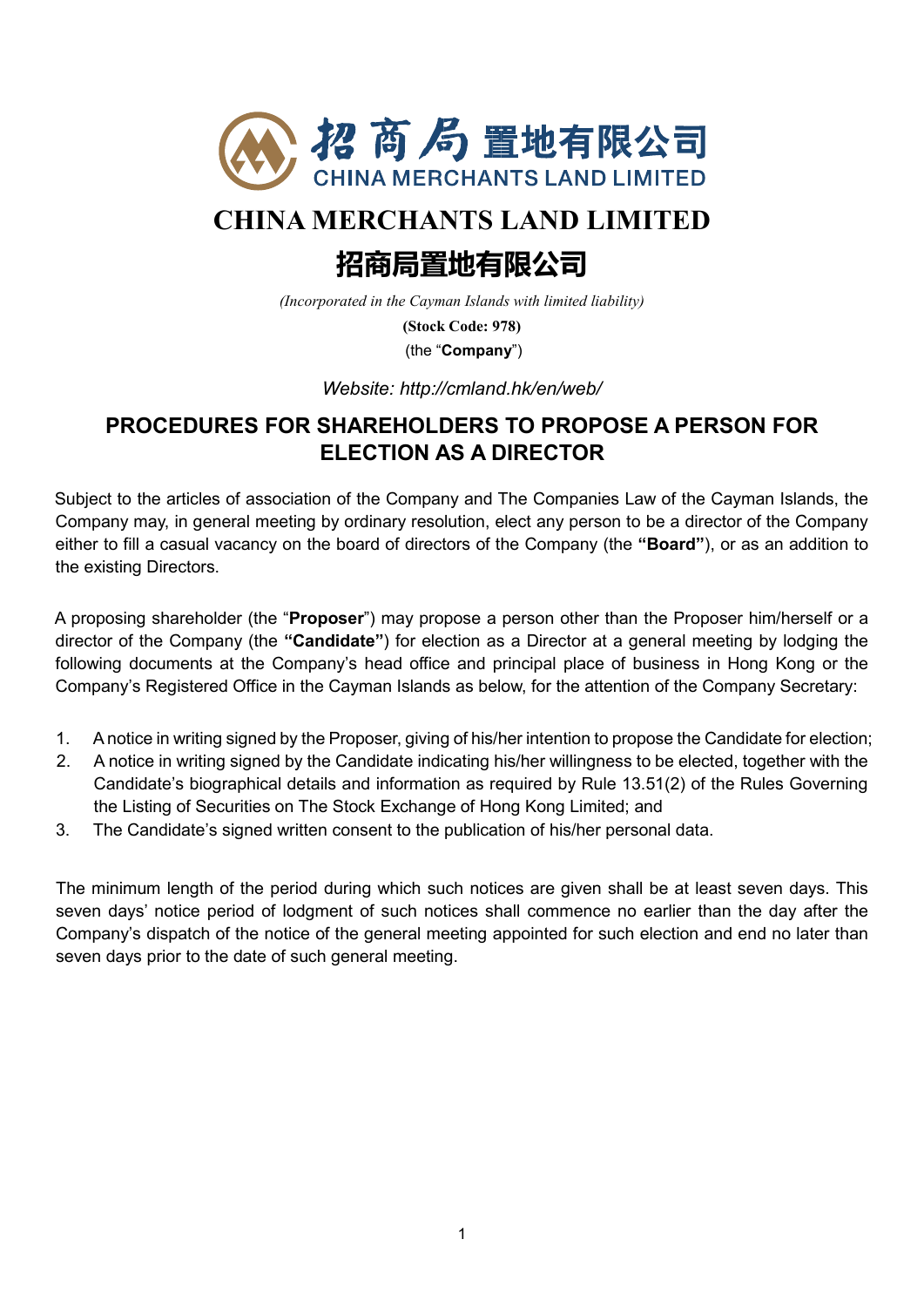

# **CHINA MERCHANTS LAND LIMITED**

# **招商局置地有限公司**

*(Incorporated in the Cayman Islands with limited liability)*

**(Stock Code: 978)**

(the "**Company**")

*Website: http://cmland.hk/en/web/*

## **PROCEDURES FOR SHAREHOLDERS TO PROPOSE A PERSON FOR ELECTION AS A DIRECTOR**

Subject to the articles of association of the Company and The Companies Law of the Cayman Islands, the Company may, in general meeting by ordinary resolution, elect any person to be a director of the Company either to fill a casual vacancy on the board of directors of the Company (the **"Board"**), or as an addition to the existing Directors.

A proposing shareholder (the "**Proposer**") may propose a person other than the Proposer him/herself or a director of the Company (the **"Candidate"**) for election as a Director at a general meeting by lodging the following documents at the Company's head office and principal place of business in Hong Kong or the Company's Registered Office in the Cayman Islands as below, for the attention of the Company Secretary:

- 1. A notice in writing signed by the Proposer, giving of his/her intention to propose the Candidate for election;
- 2. A notice in writing signed by the Candidate indicating his/her willingness to be elected, together with the Candidate's biographical details and information as required by Rule 13.51(2) of the Rules Governing the Listing of Securities on The Stock Exchange of Hong Kong Limited; and
- 3. The Candidate's signed written consent to the publication of his/her personal data.

The minimum length of the period during which such notices are given shall be at least seven days. This seven days' notice period of lodgment of such notices shall commence no earlier than the day after the Company's dispatch of the notice of the general meeting appointed for such election and end no later than seven days prior to the date of such general meeting.